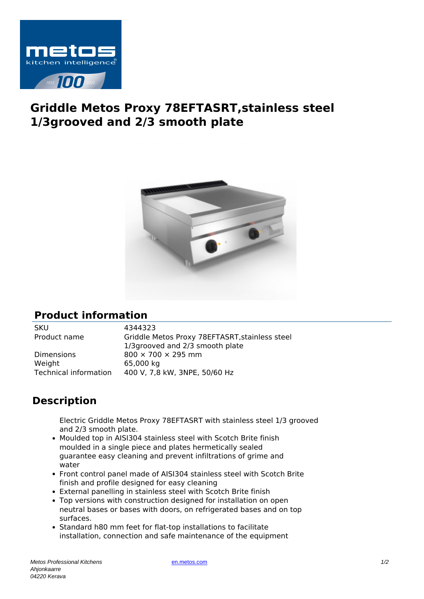

## **Griddle Metos Proxy 78EFTASRT,stainless steel 1/3grooved and 2/3 smooth plate**



## **Product information**

SKU 4344323

Dimensions 800  $\times$  700  $\times$  295 mm Weight 65,000 kg

Product name Griddle Metos Proxy 78EFTASRT,stainless steel 1/3grooved and 2/3 smooth plate Technical information 400 V, 7,8 kW, 3NPE, 50/60 Hz

## **Description**

Electric Griddle Metos Proxy 78EFTASRT with stainless steel 1/3 grooved and 2/3 smooth plate.

- Moulded top in AISI304 stainless steel with Scotch Brite finish moulded in a single piece and plates hermetically sealed guarantee easy cleaning and prevent infiltrations of grime and water
- Front control panel made of AISI304 stainless steel with Scotch Brite finish and profile designed for easy cleaning
- External panelling in stainless steel with Scotch Brite finish
- Top versions with construction designed for installation on open neutral bases or bases with doors, on refrigerated bases and on top surfaces.
- Standard h80 mm feet for flat-top installations to facilitate installation, connection and safe maintenance of the equipment